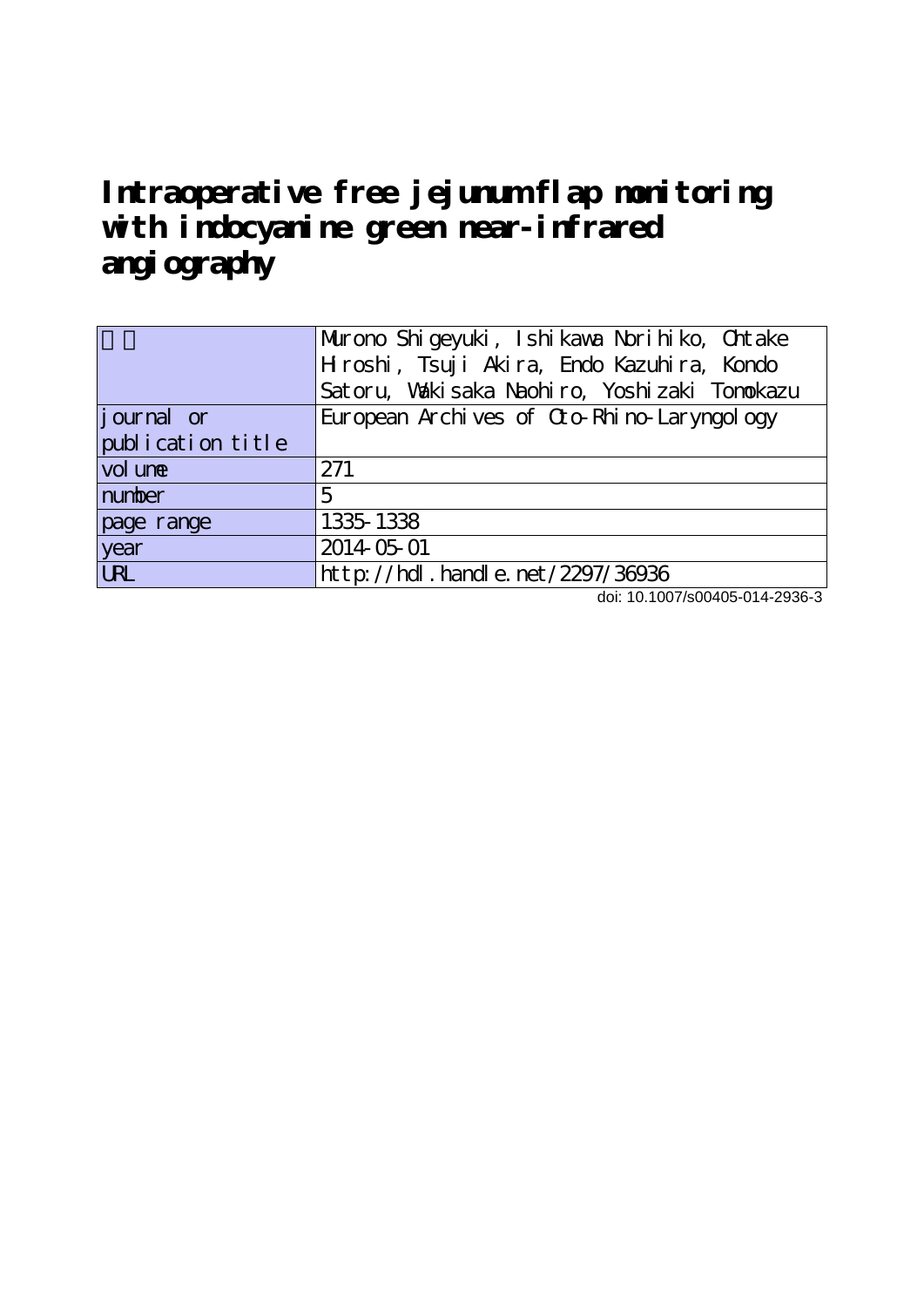**Intraoperative free jejunum flap monitoring with indocyanine green near-infrared angiography**

|                   | Murono Shigeyuki, Ishikawa Norihiko, Ontake       |
|-------------------|---------------------------------------------------|
|                   | Hroshi, Tsuji Akira, Endo Kazuhira, Kondo         |
|                   | Satoru, Waki saka Naohi ro, Yoshi zaki Tonokazu   |
| journal or        | European Archives of $\alpha$ o-Rhino-Laryngology |
| publication title |                                                   |
| vol une           | 271                                               |
| number            | 5                                                 |
| page range        | 1335-1338                                         |
| year              | 2014 05 01                                        |
| <b>URL</b>        | http://hdl.handle.net/2297/36936                  |

doi: 10.1007/s00405-014-2936-3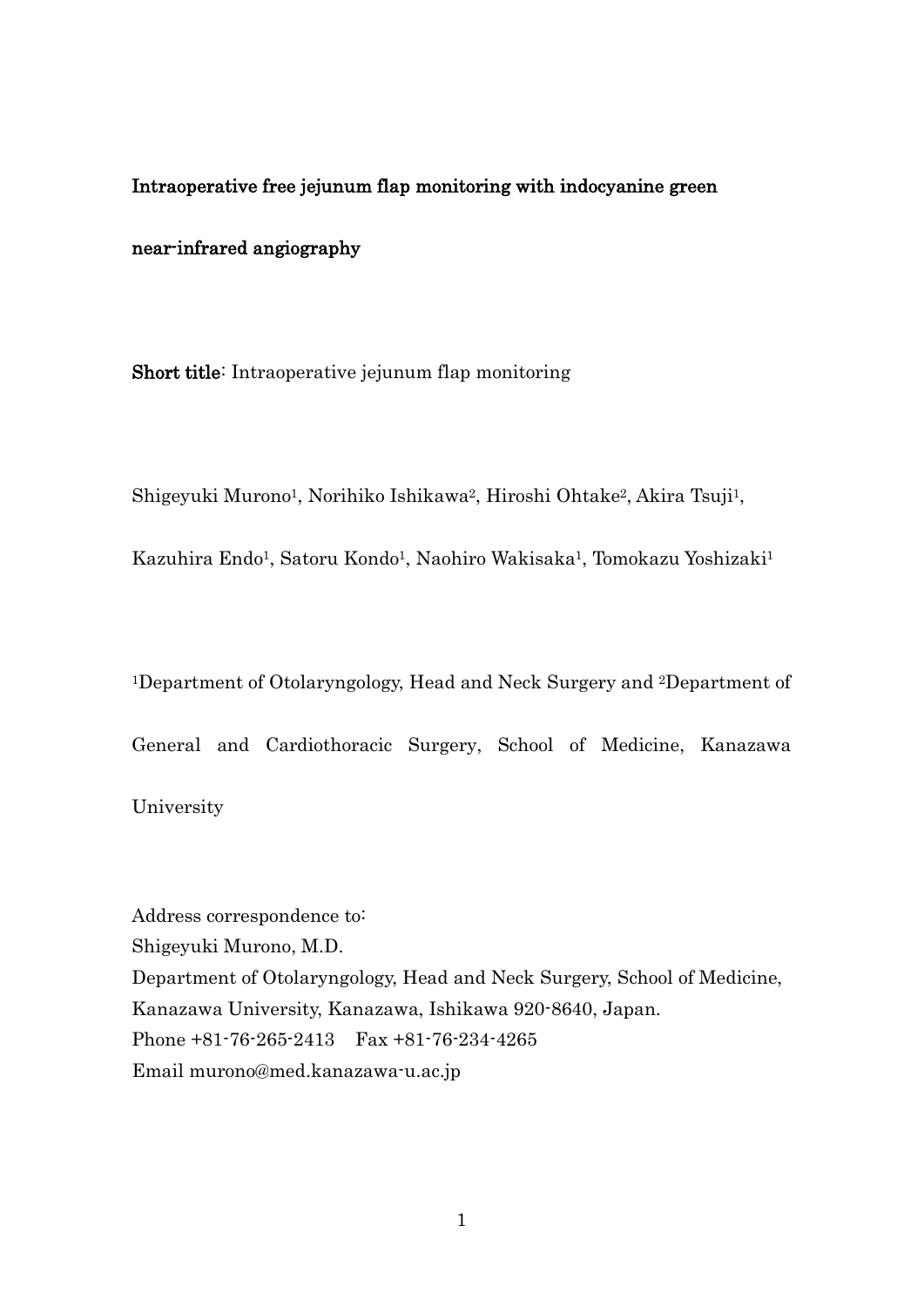Intraoperative free jejunum flap monitoring with indocyanine green near-infrared angiography

Short title: Intraoperative jejunum flap monitoring

Shigeyuki Murono<sup>1</sup>, Norihiko Ishikawa<sup>2</sup>, Hiroshi Ohtake<sup>2</sup>, Akira Tsuji<sup>1</sup>,

Kazuhira Endo<sup>1</sup>, Satoru Kondo<sup>1</sup>, Naohiro Wakisaka<sup>1</sup>, Tomokazu Yoshizaki<sup>1</sup>

1Department of Otolaryngology, Head and Neck Surgery and 2Department of General and Cardiothoracic Surgery, School of Medicine, Kanazawa University

Address correspondence to: Shigeyuki Murono, M.D. Department of Otolaryngology, Head and Neck Surgery, School of Medicine, Kanazawa University, Kanazawa, Ishikawa 920-8640, Japan. Phone +81-76-265-2413 Fax +81-76-234-4265 Email murono@med.kanazawa-u.ac.jp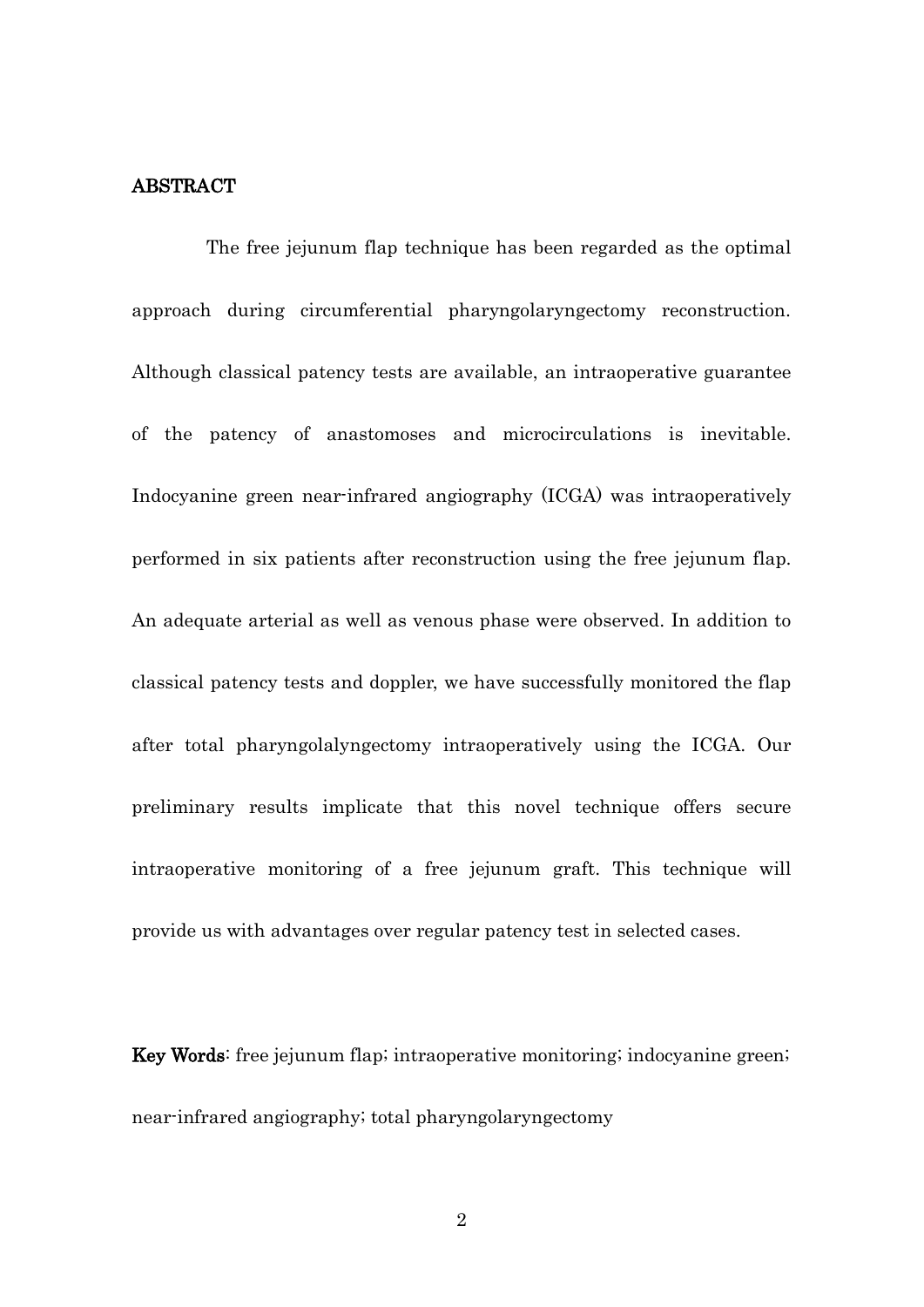# ABSTRACT

The free jejunum flap technique has been regarded as the optimal approach during circumferential pharyngolaryngectomy reconstruction. Although classical patency tests are available, an intraoperative guarantee of the patency of anastomoses and microcirculations is inevitable. Indocyanine green near-infrared angiography (ICGA) was intraoperatively performed in six patients after reconstruction using the free jejunum flap. An adequate arterial as well as venous phase were observed. In addition to classical patency tests and doppler, we have successfully monitored the flap after total pharyngolalyngectomy intraoperatively using the ICGA. Our preliminary results implicate that this novel technique offers secure intraoperative monitoring of a free jejunum graft. This technique will provide us with advantages over regular patency test in selected cases.

Key Words: free jejunum flap; intraoperative monitoring; indocyanine green; near-infrared angiography; total pharyngolaryngectomy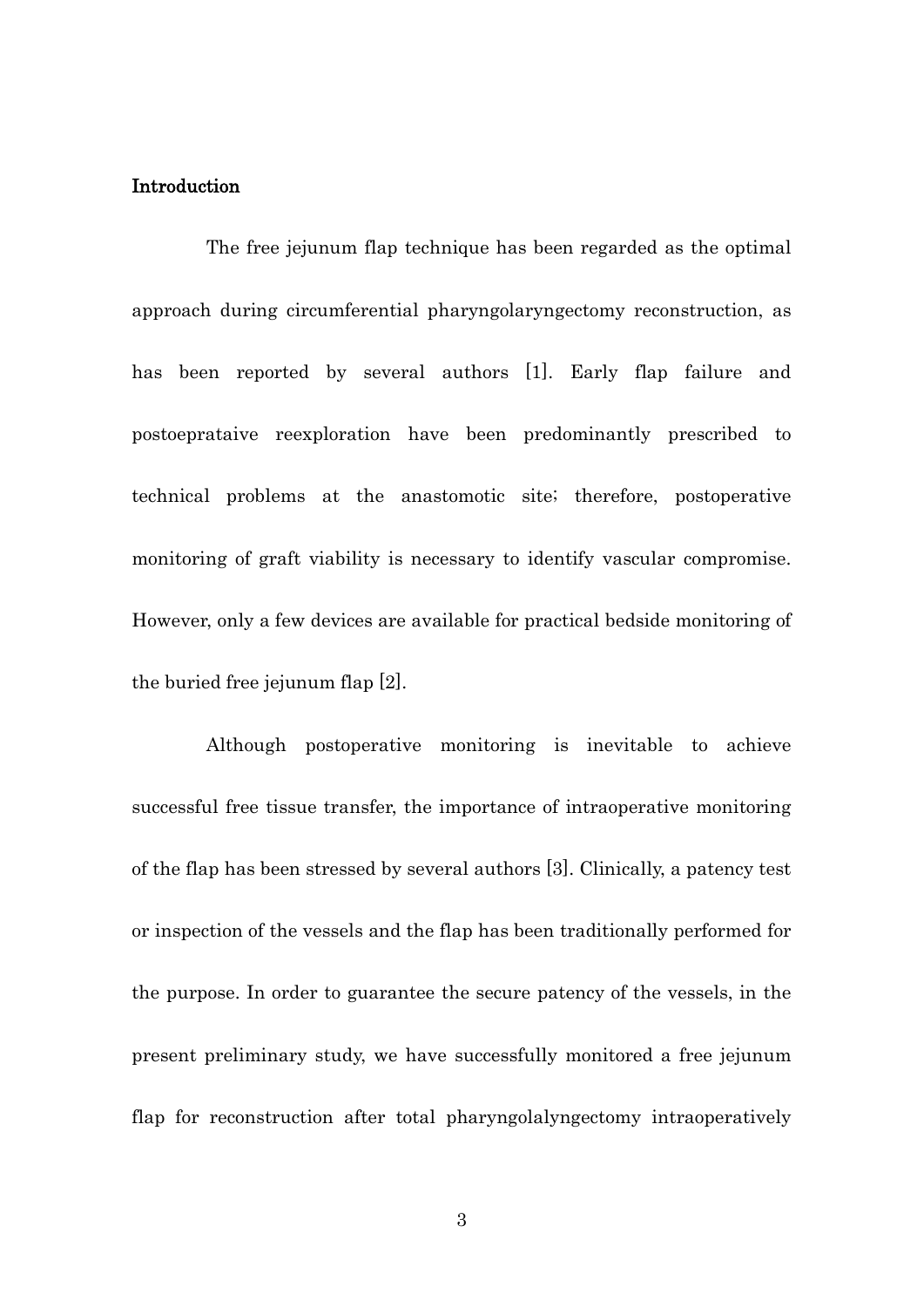# Introduction

The free jejunum flap technique has been regarded as the optimal approach during circumferential pharyngolaryngectomy reconstruction, as has been reported by several authors [1]. Early flap failure and postoeprataive reexploration have been predominantly prescribed to technical problems at the anastomotic site; therefore, postoperative monitoring of graft viability is necessary to identify vascular compromise. However, only a few devices are available for practical bedside monitoring of the buried free jejunum flap [2].

Although postoperative monitoring is inevitable to achieve successful free tissue transfer, the importance of intraoperative monitoring of the flap has been stressed by several authors [3]. Clinically, a patency test or inspection of the vessels and the flap has been traditionally performed for the purpose. In order to guarantee the secure patency of the vessels, in the present preliminary study, we have successfully monitored a free jejunum flap for reconstruction after total pharyngolalyngectomy intraoperatively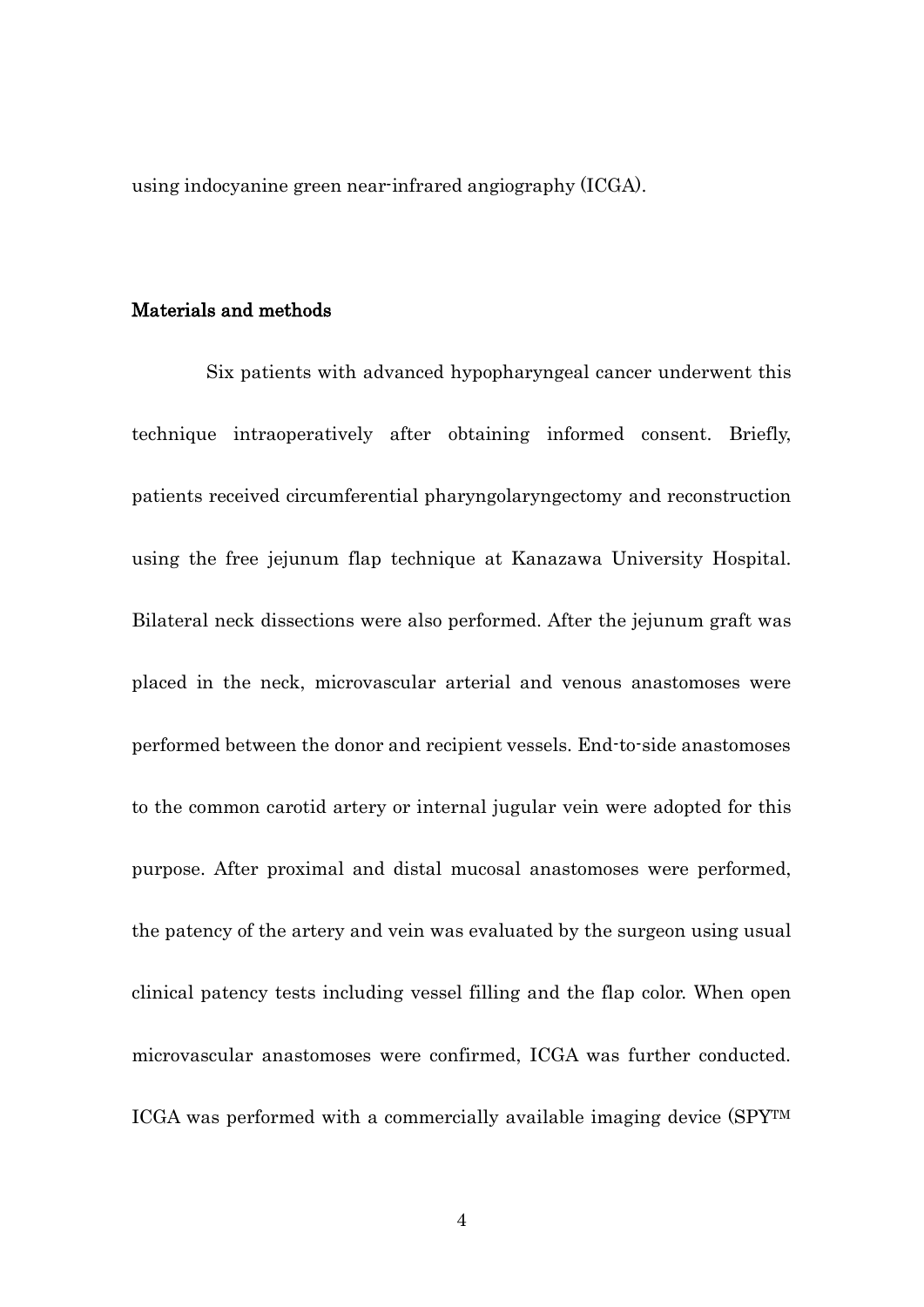using indocyanine green near-infrared angiography (ICGA).

#### Materials and methods

Six patients with advanced hypopharyngeal cancer underwent this technique intraoperatively after obtaining informed consent. Briefly, patients received circumferential pharyngolaryngectomy and reconstruction using the free jejunum flap technique at Kanazawa University Hospital. Bilateral neck dissections were also performed. After the jejunum graft was placed in the neck, microvascular arterial and venous anastomoses were performed between the donor and recipient vessels. End-to-side anastomoses to the common carotid artery or internal jugular vein were adopted for this purpose. After proximal and distal mucosal anastomoses were performed, the patency of the artery and vein was evaluated by the surgeon using usual clinical patency tests including vessel filling and the flap color. When open microvascular anastomoses were confirmed, ICGA was further conducted. ICGA was performed with a commercially available imaging device (SPYTM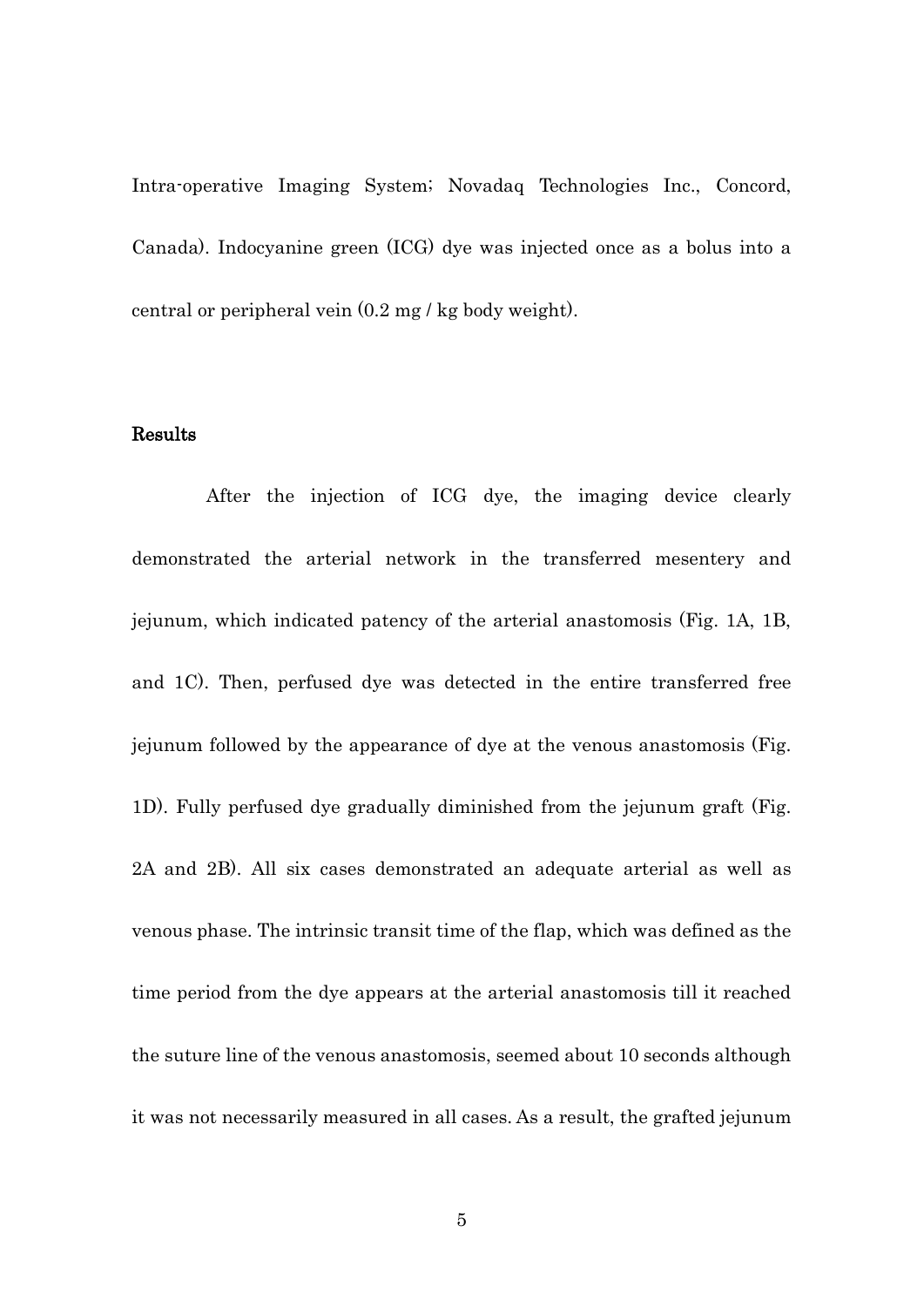Intra-operative Imaging System; Novadaq Technologies Inc., Concord, Canada). Indocyanine green (ICG) dye was injected once as a bolus into a central or peripheral vein (0.2 mg / kg body weight).

# Results

After the injection of ICG dye, the imaging device clearly demonstrated the arterial network in the transferred mesentery and jejunum, which indicated patency of the arterial anastomosis (Fig. 1A, 1B, and 1C). Then, perfused dye was detected in the entire transferred free jejunum followed by the appearance of dye at the venous anastomosis (Fig. 1D). Fully perfused dye gradually diminished from the jejunum graft (Fig. 2A and 2B). All six cases demonstrated an adequate arterial as well as venous phase. The intrinsic transit time of the flap, which was defined as the time period from the dye appears at the arterial anastomosis till it reached the suture line of the venous anastomosis, seemed about 10 seconds although it was not necessarily measured in all cases. As a result, the grafted jejunum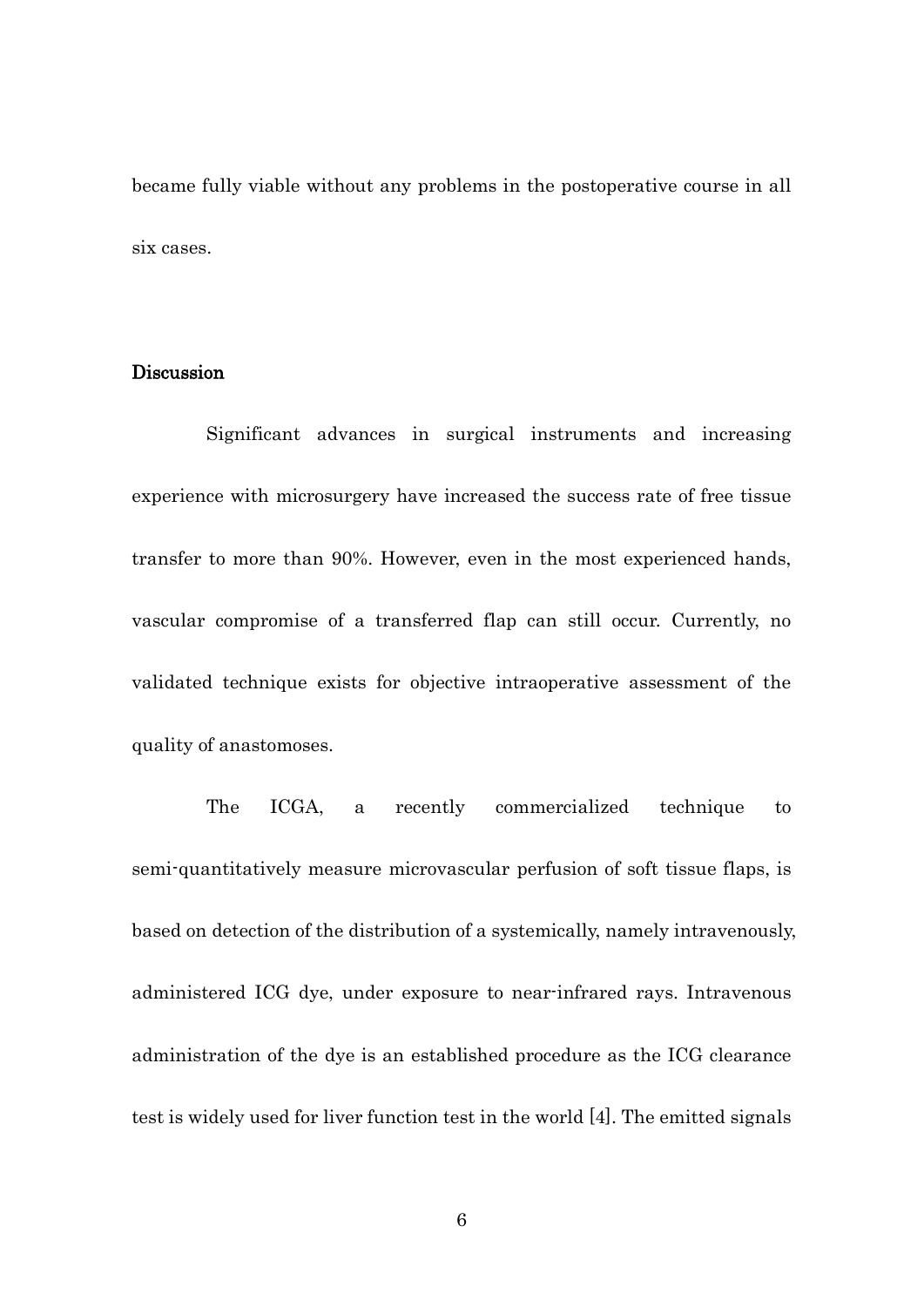became fully viable without any problems in the postoperative course in all six cases.

### **Discussion**

Significant advances in surgical instruments and increasing experience with microsurgery have increased the success rate of free tissue transfer to more than 90%. However, even in the most experienced hands, vascular compromise of a transferred flap can still occur. Currently, no validated technique exists for objective intraoperative assessment of the quality of anastomoses.

The ICGA, a recently commercialized technique to semi-quantitatively measure microvascular perfusion of soft tissue flaps, is based on detection of the distribution of a systemically, namely intravenously, administered ICG dye, under exposure to near-infrared rays. Intravenous administration of the dye is an established procedure as the ICG clearance test is widely used for liver function test in the world [4]. The emitted signals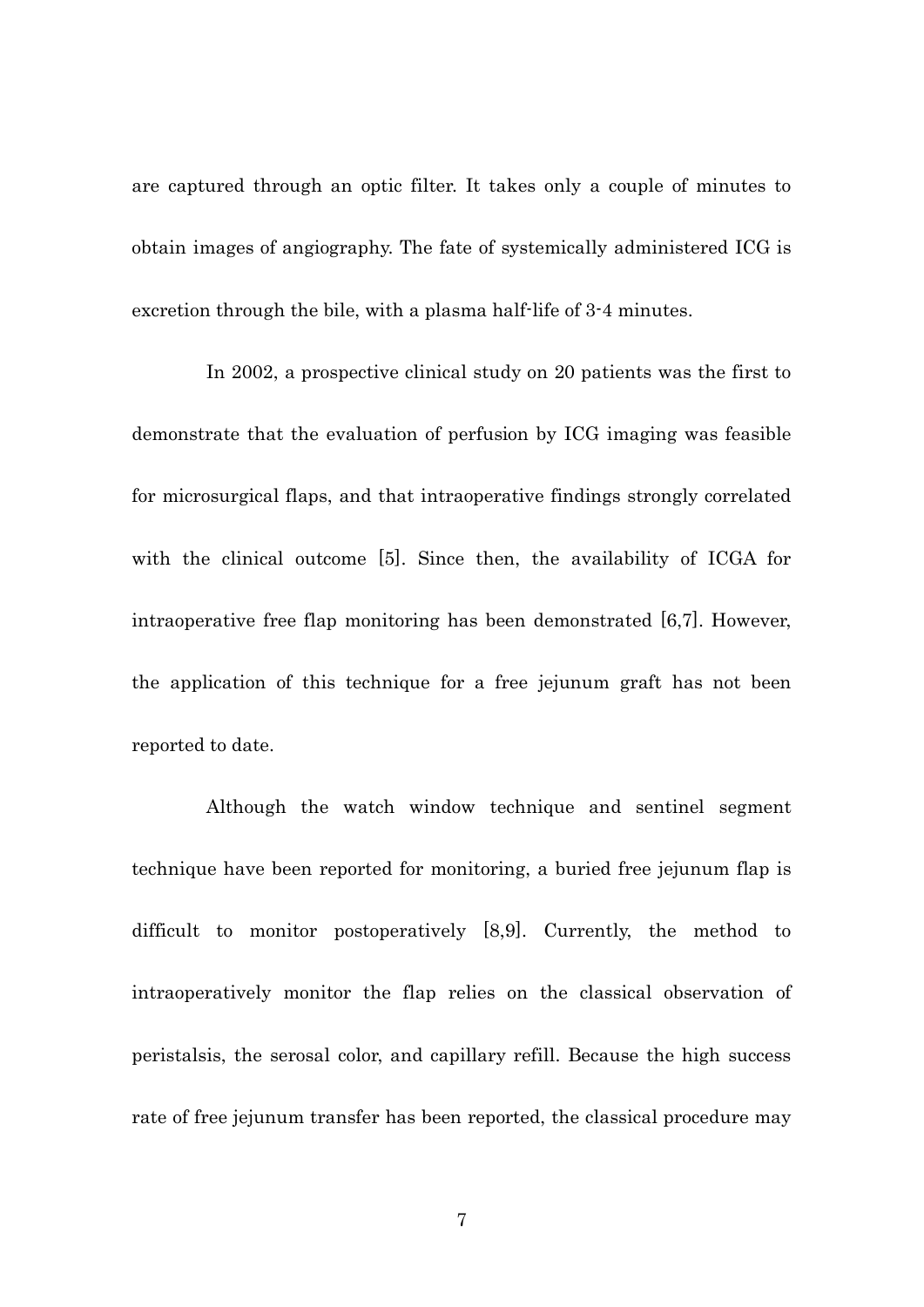are captured through an optic filter. It takes only a couple of minutes to obtain images of angiography. The fate of systemically administered ICG is excretion through the bile, with a plasma half-life of 3-4 minutes.

In 2002, a prospective clinical study on 20 patients was the first to demonstrate that the evaluation of perfusion by ICG imaging was feasible for microsurgical flaps, and that intraoperative findings strongly correlated with the clinical outcome [5]. Since then, the availability of ICGA for intraoperative free flap monitoring has been demonstrated [6,7]. However, the application of this technique for a free jejunum graft has not been reported to date.

Although the watch window technique and sentinel segment technique have been reported for monitoring, a buried free jejunum flap is difficult to monitor postoperatively [8,9]. Currently, the method to intraoperatively monitor the flap relies on the classical observation of peristalsis, the serosal color, and capillary refill. Because the high success rate of free jejunum transfer has been reported, the classical procedure may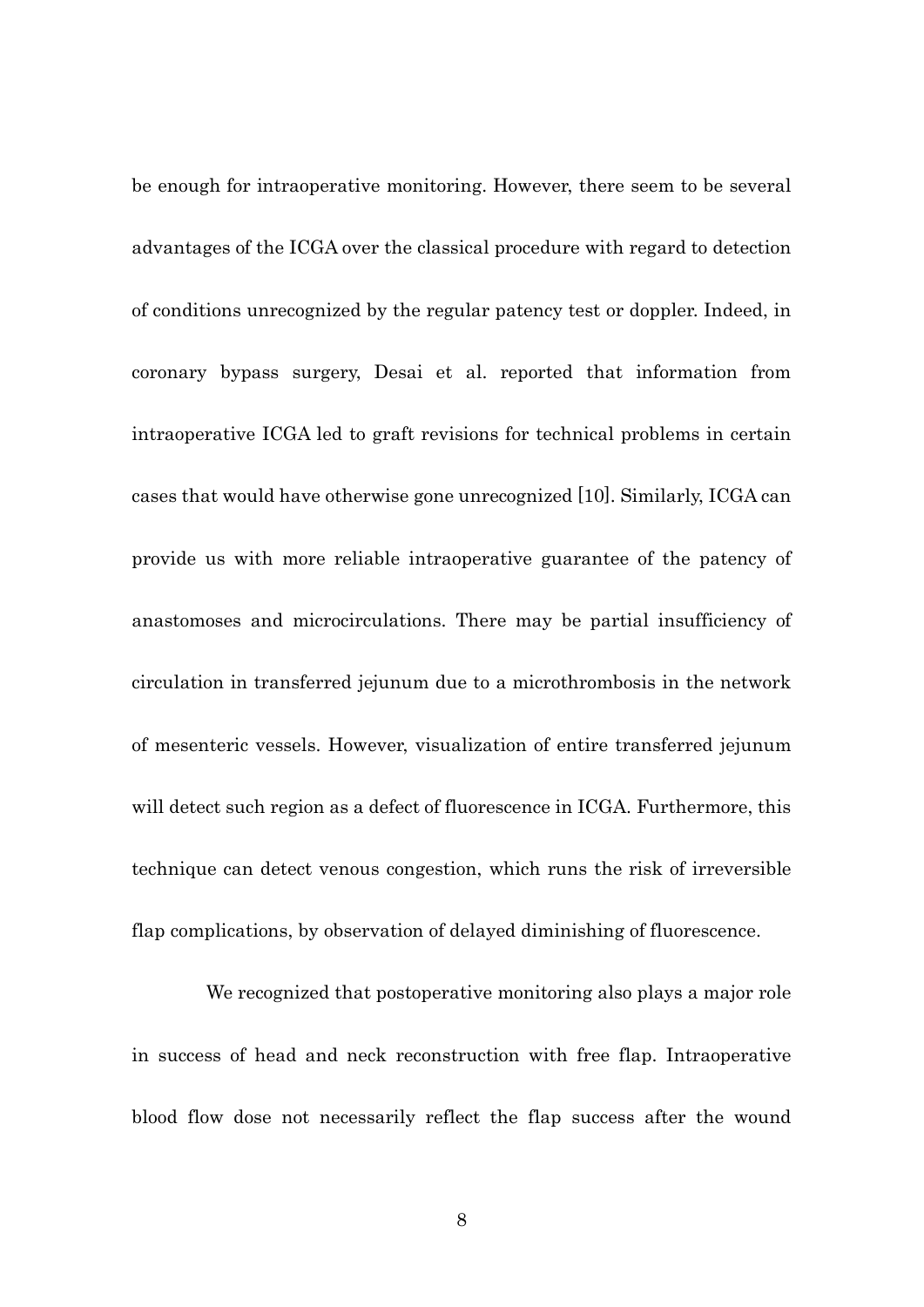be enough for intraoperative monitoring. However, there seem to be several advantages of the ICGA over the classical procedure with regard to detection of conditions unrecognized by the regular patency test or doppler. Indeed, in coronary bypass surgery, Desai et al. reported that information from intraoperative ICGA led to graft revisions for technical problems in certain cases that would have otherwise gone unrecognized [10]. Similarly, ICGA can provide us with more reliable intraoperative guarantee of the patency of anastomoses and microcirculations. There may be partial insufficiency of circulation in transferred jejunum due to a microthrombosis in the network of mesenteric vessels. However, visualization of entire transferred jejunum will detect such region as a defect of fluorescence in ICGA. Furthermore, this technique can detect venous congestion, which runs the risk of irreversible flap complications, by observation of delayed diminishing of fluorescence.

We recognized that postoperative monitoring also plays a major role in success of head and neck reconstruction with free flap. Intraoperative blood flow dose not necessarily reflect the flap success after the wound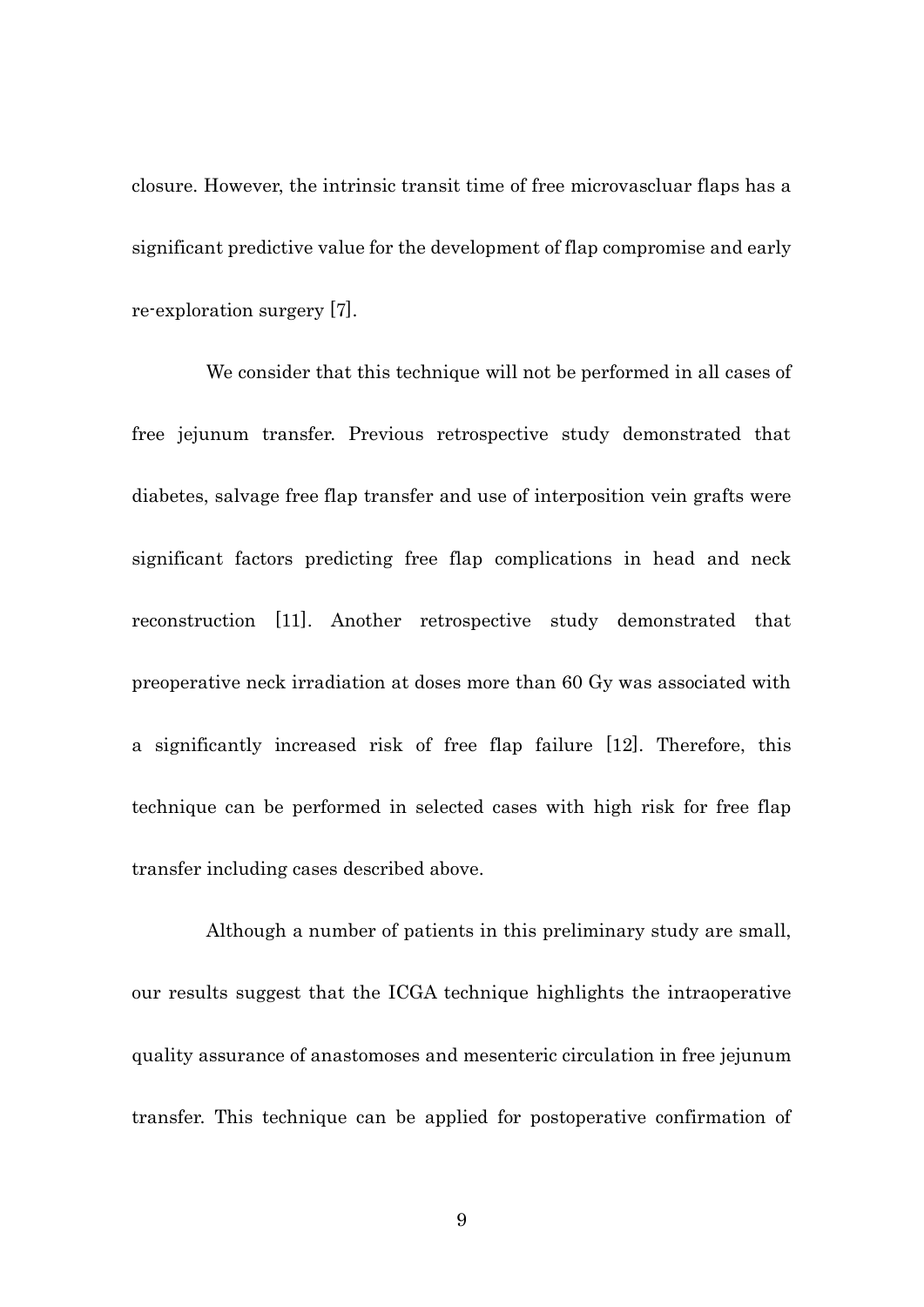closure. However, the intrinsic transit time of free microvascluar flaps has a significant predictive value for the development of flap compromise and early re-exploration surgery [7].

We consider that this technique will not be performed in all cases of free jejunum transfer. Previous retrospective study demonstrated that diabetes, salvage free flap transfer and use of interposition vein grafts were significant factors predicting free flap complications in head and neck reconstruction [11]. Another retrospective study demonstrated that preoperative neck irradiation at doses more than 60 Gy was associated with a significantly increased risk of free flap failure [12]. Therefore, this technique can be performed in selected cases with high risk for free flap transfer including cases described above.

Although a number of patients in this preliminary study are small, our results suggest that the ICGA technique highlights the intraoperative quality assurance of anastomoses and mesenteric circulation in free jejunum transfer. This technique can be applied for postoperative confirmation of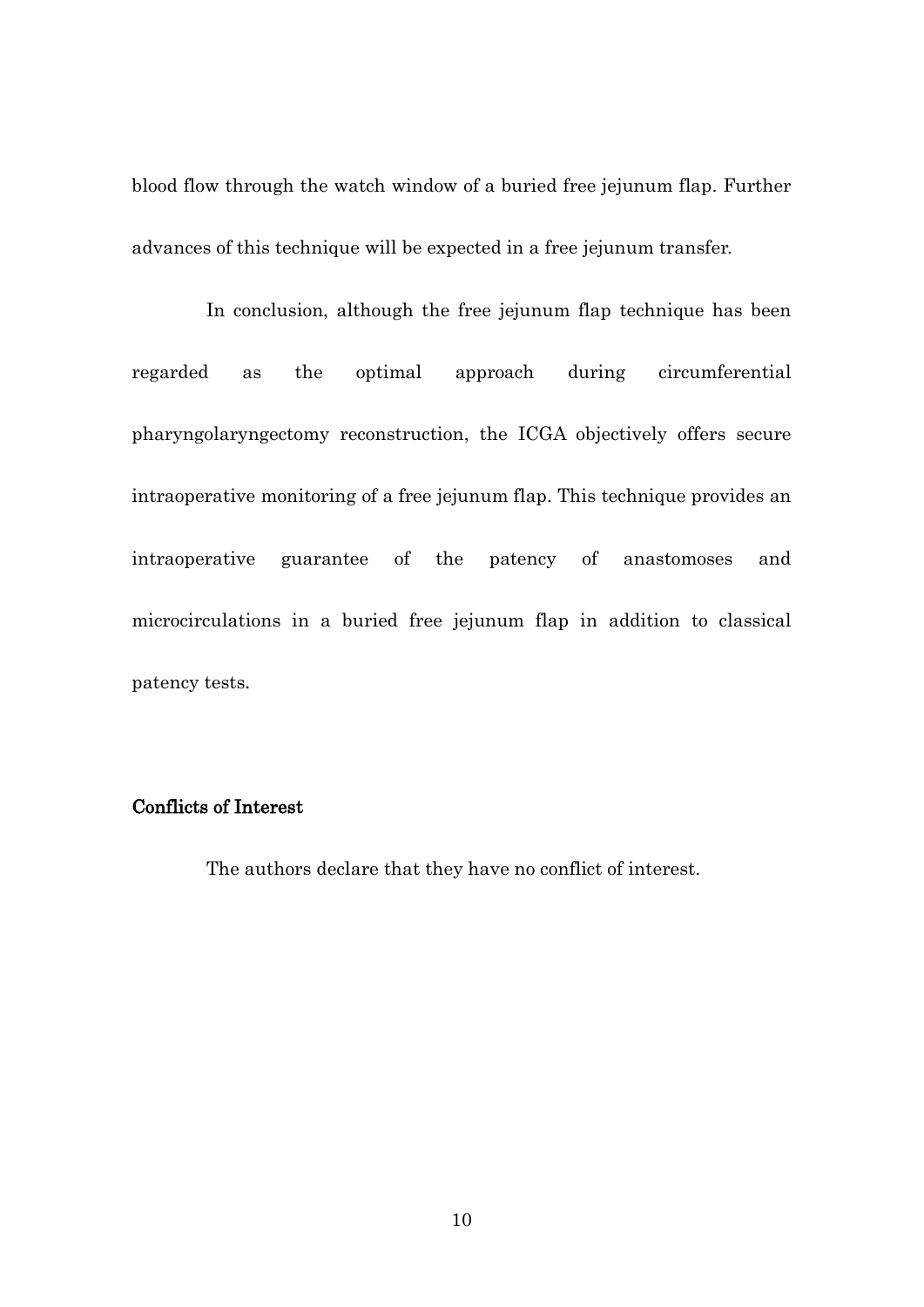blood flow through the watch window of a buried free jejunum flap. Further advances of this technique will be expected in a free jejunum transfer.

In conclusion, although the free jejunum flap technique has been regarded as the optimal approach during circumferential pharyngolaryngectomy reconstruction, the ICGA objectively offers secure intraoperative monitoring of a free jejunum flap. This technique provides an intraoperative guarantee of the patency of anastomoses and microcirculations in a buried free jejunum flap in addition to classical patency tests.

### Conflicts of Interest

The authors declare that they have no conflict of interest.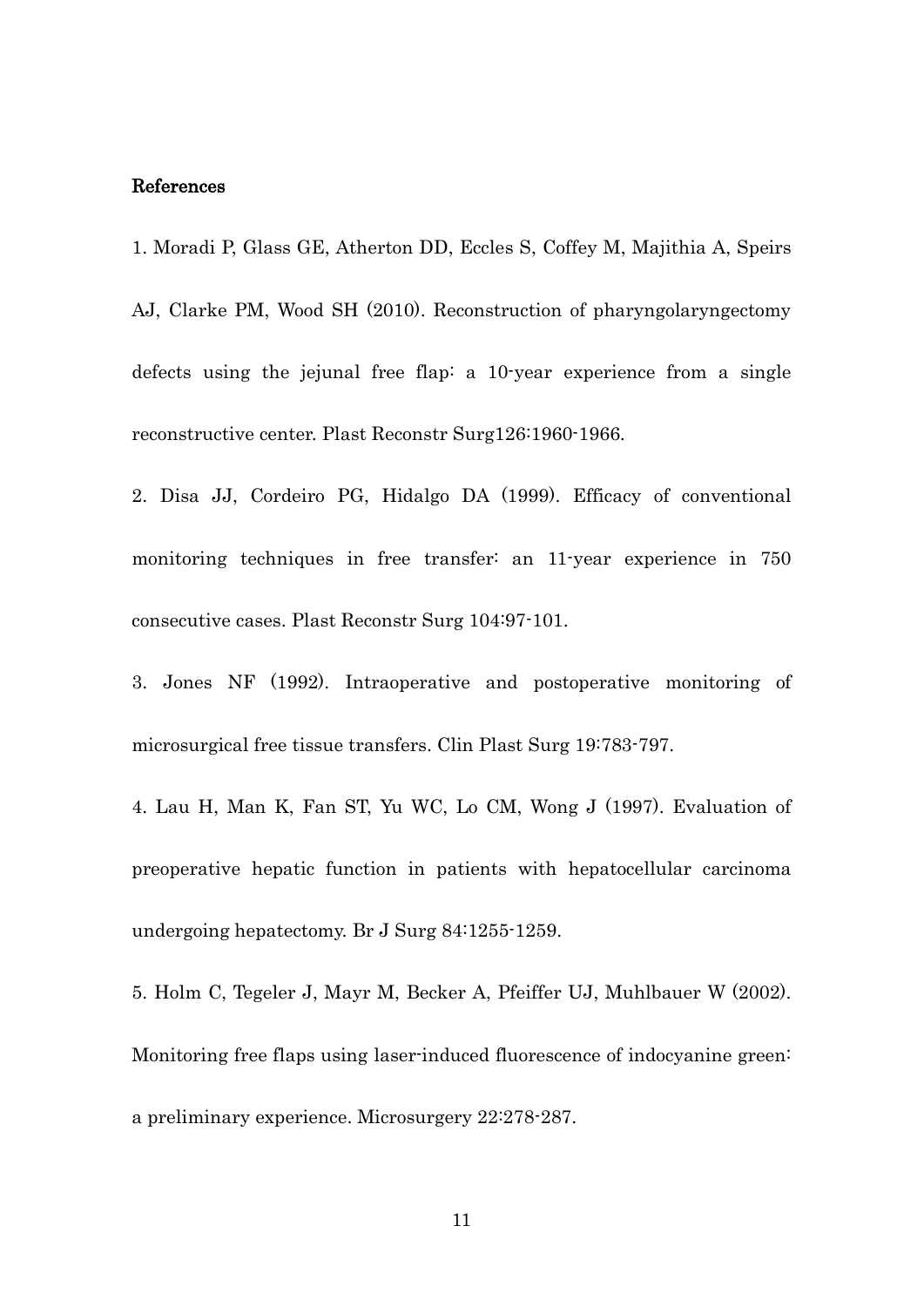### References

1. Moradi P, Glass GE, Atherton DD, Eccles S, Coffey M, Majithia A, Speirs AJ, Clarke PM, Wood SH (2010). Reconstruction of pharyngolaryngectomy defects using the jejunal free flap: a 10-year experience from a single reconstructive center. Plast Reconstr Surg126:1960-1966.

2. Disa JJ, Cordeiro PG, Hidalgo DA (1999). Efficacy of conventional monitoring techniques in free transfer: an 11-year experience in 750 consecutive cases. Plast Reconstr Surg 104:97-101.

3. Jones NF (1992). Intraoperative and postoperative monitoring of microsurgical free tissue transfers. Clin Plast Surg 19:783-797.

4. Lau H, Man K, Fan ST, Yu WC, Lo CM, Wong J (1997). Evaluation of preoperative hepatic function in patients with hepatocellular carcinoma undergoing hepatectomy. Br J Surg 84:1255-1259.

5. Holm C, Tegeler J, Mayr M, Becker A, Pfeiffer UJ, Muhlbauer W (2002). Monitoring free flaps using laser-induced fluorescence of indocyanine green: a preliminary experience. Microsurgery 22:278-287.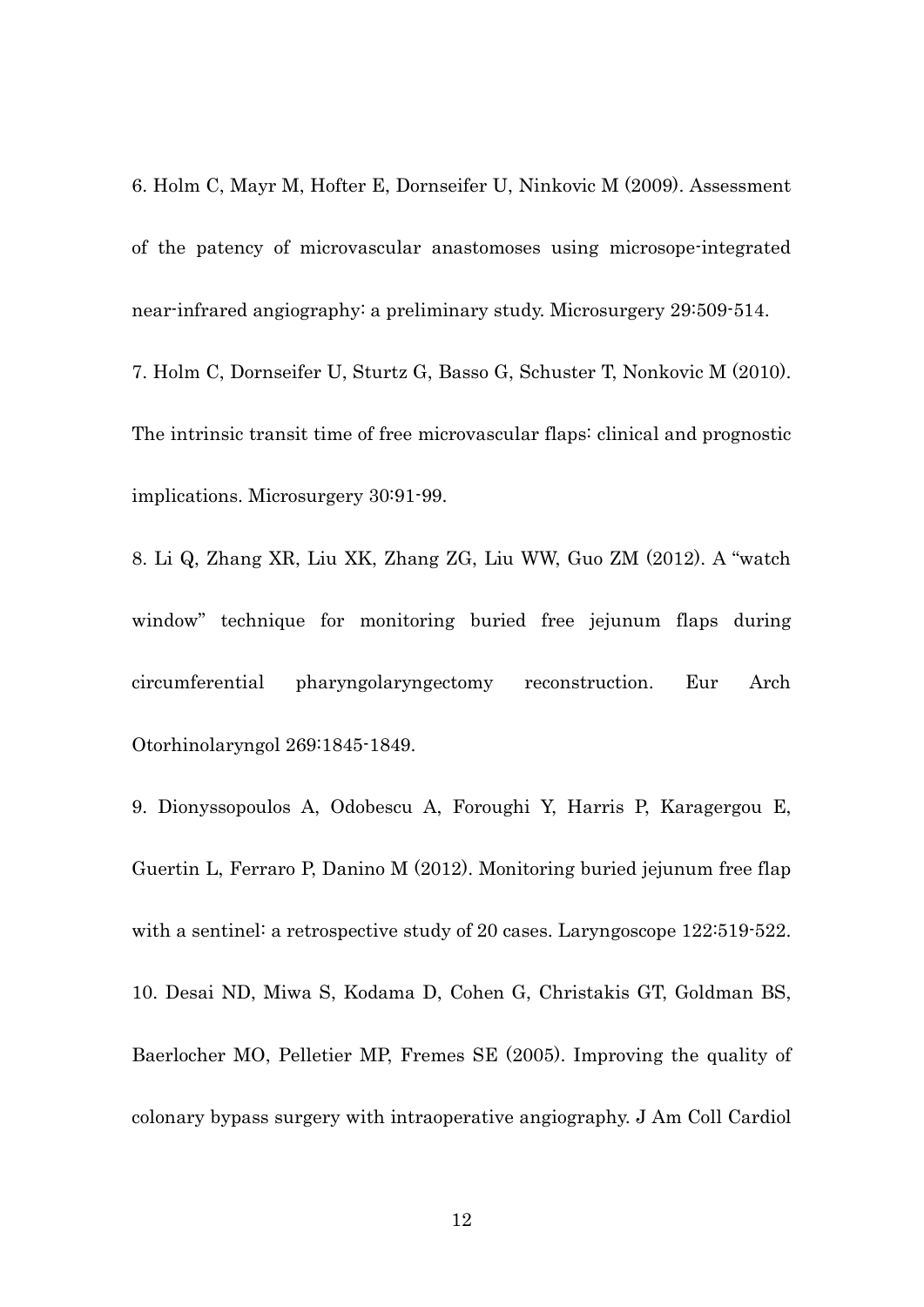6. Holm C, Mayr M, Hofter E, Dornseifer U, Ninkovic M (2009). Assessment of the patency of microvascular anastomoses using microsope-integrated near-infrared angiography: a preliminary study. Microsurgery 29:509-514.

7. Holm C, Dornseifer U, Sturtz G, Basso G, Schuster T, Nonkovic M (2010). The intrinsic transit time of free microvascular flaps: clinical and prognostic implications. Microsurgery 30:91-99.

8. Li Q, Zhang XR, Liu XK, Zhang ZG, Liu WW, Guo ZM (2012). A "watch window" technique for monitoring buried free jejunum flaps during circumferential pharyngolaryngectomy reconstruction. Eur Arch Otorhinolaryngol 269:1845-1849.

9. Dionyssopoulos A, Odobescu A, Foroughi Y, Harris P, Karagergou E, Guertin L, Ferraro P, Danino M (2012). Monitoring buried jejunum free flap with a sentinel: a retrospective study of 20 cases. Laryngoscope 122:519-522. 10. Desai ND, Miwa S, Kodama D, Cohen G, Christakis GT, Goldman BS, Baerlocher MO, Pelletier MP, Fremes SE (2005). Improving the quality of colonary bypass surgery with intraoperative angiography. J Am Coll Cardiol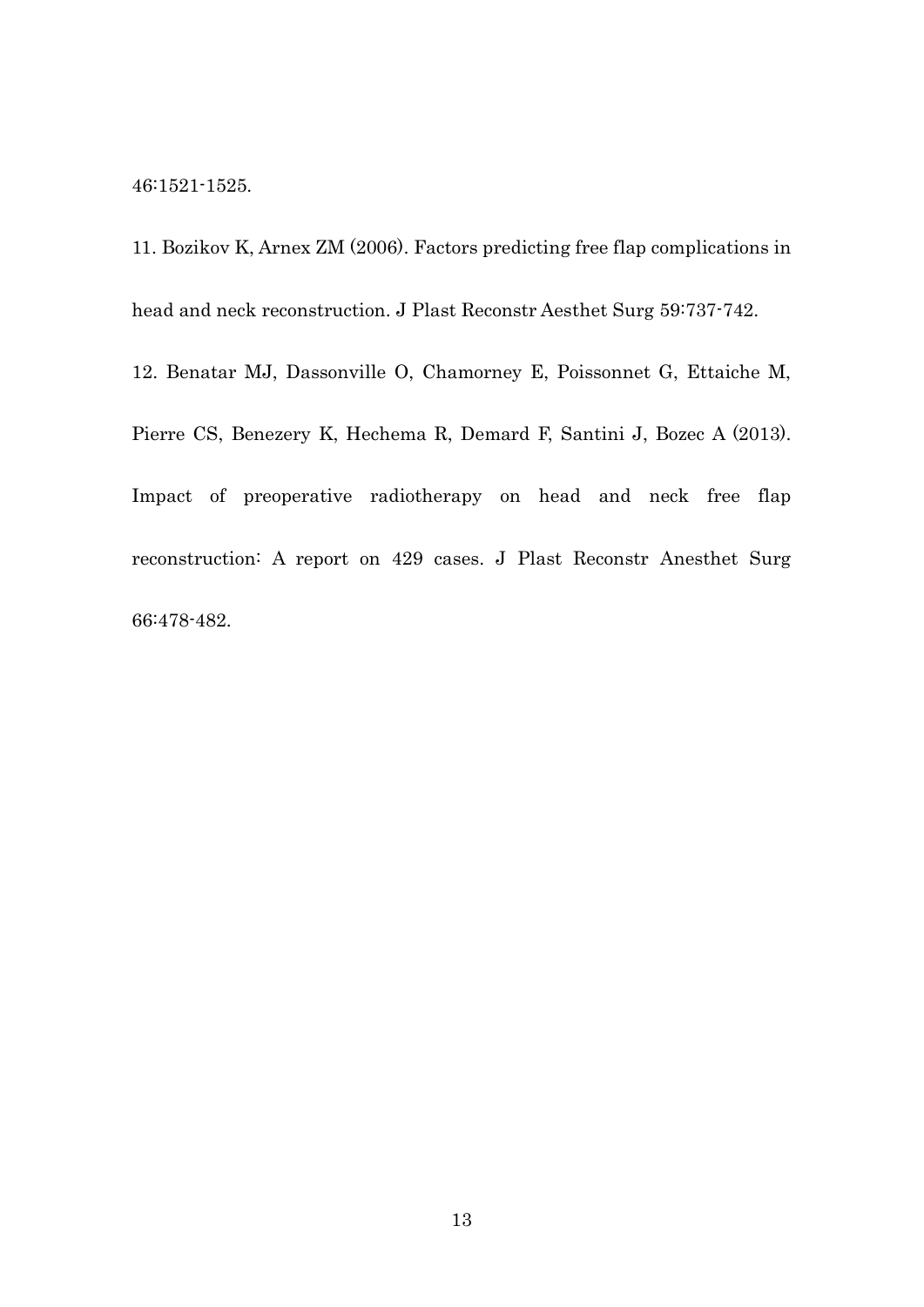46:1521-1525.

11. Bozikov K, Arnex ZM (2006). Factors predicting free flap complications in head and neck reconstruction. J Plast Reconstr Aesthet Surg 59:737-742.

12. Benatar MJ, Dassonville O, Chamorney E, Poissonnet G, Ettaiche M, Pierre CS, Benezery K, Hechema R, Demard F, Santini J, Bozec A (2013). Impact of preoperative radiotherapy on head and neck free flap reconstruction: A report on 429 cases. J Plast Reconstr Anesthet Surg 66:478-482.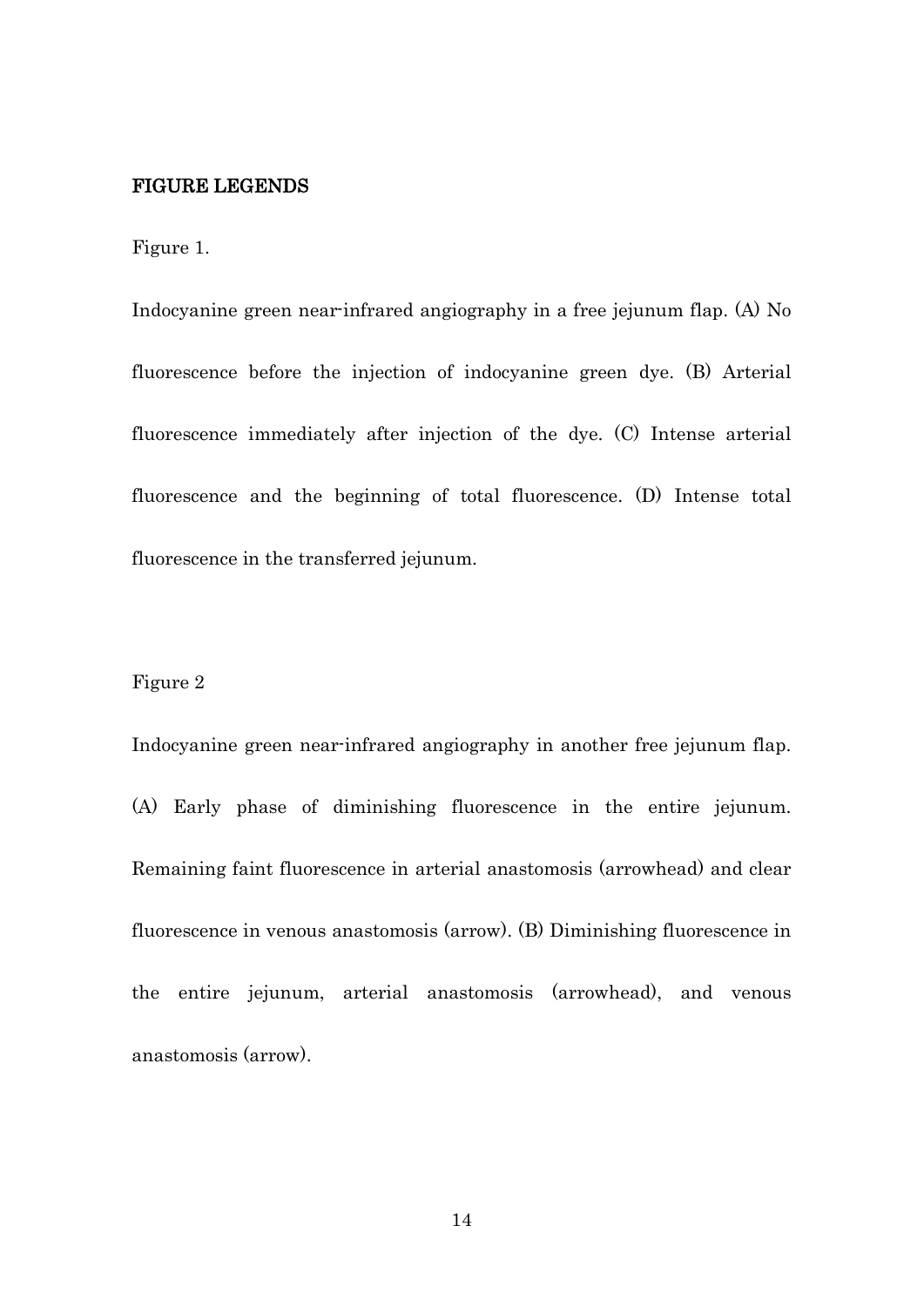### FIGURE LEGENDS

Figure 1.

Indocyanine green near-infrared angiography in a free jejunum flap. (A) No fluorescence before the injection of indocyanine green dye. (B) Arterial fluorescence immediately after injection of the dye. (C) Intense arterial fluorescence and the beginning of total fluorescence. (D) Intense total fluorescence in the transferred jejunum.

#### Figure 2

Indocyanine green near-infrared angiography in another free jejunum flap. (A) Early phase of diminishing fluorescence in the entire jejunum. Remaining faint fluorescence in arterial anastomosis (arrowhead) and clear fluorescence in venous anastomosis (arrow). (B) Diminishing fluorescence in the entire jejunum, arterial anastomosis (arrowhead), and venous anastomosis (arrow).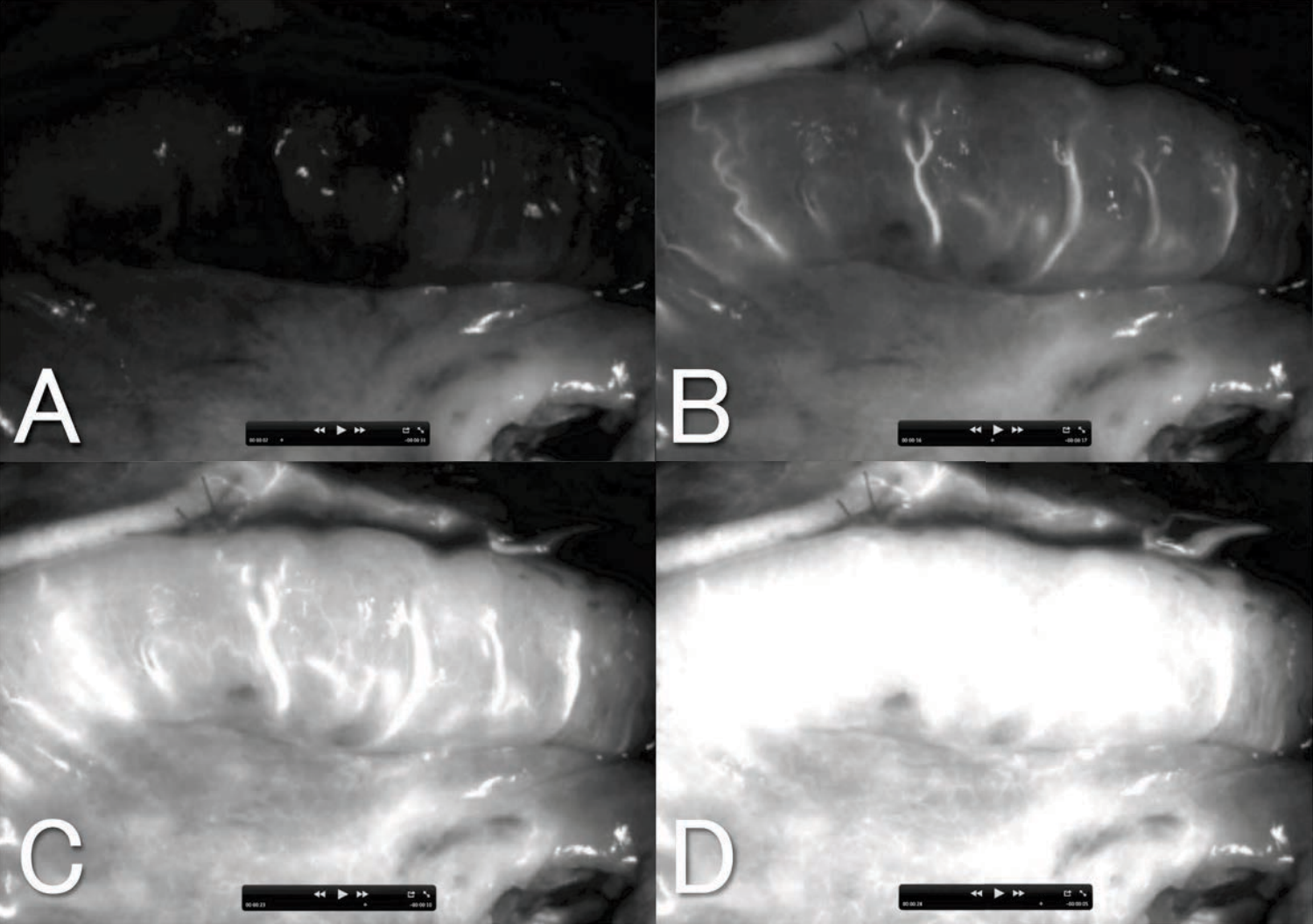